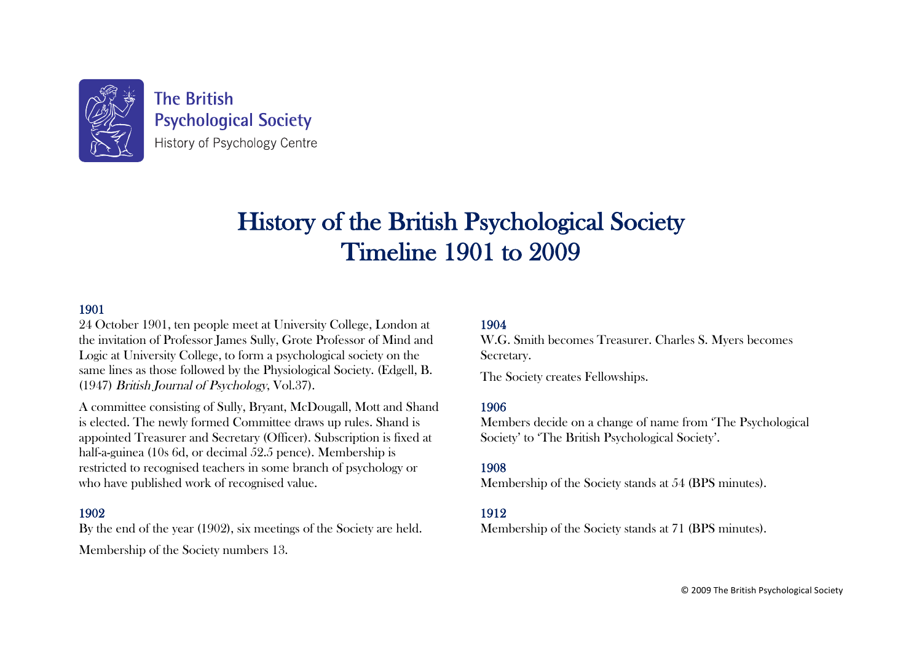

**The British Psychological Society** History of Psychology Centre

# History of the British Psychological Society Timeline 1901 to 2009

## 1901

24 October 1901, ten people meet at University College, London at the invitation of Professor James Sully, Grote Professor of Mind and Logic at University College, to form a psychological society on the same lines as those followed by the Physiological Society. (Edgell, B. (1947) British Journal of Psychology, Vol.37).

A committee consisting of Sully, Bryant, McDougall, Mott and Shand is elected. The newly formed Committee draws up rules. Shand is appointed Treasurer and Secretary (Officer). Subscription is fixed at half-a-guinea (10s 6d, or decimal 52.5 pence). Membership is restricted to recognised teachers in some branch of psychology or who have published work of recognised value.

#### 1902

By the end of the year (1902), six meetings of the Society are held.

Membership of the Society numbers 13.

#### 1904

W.G. Smith becomes Treasurer. Charles S. Myers becomes Secretary.

The Society creates Fellowships.

## 1906

Members decide on a change of name from 'The Psychological Society' to 'The British Psychological Society'.

## 1908

Membership of the Society stands at 54 (BPS minutes).

## 1912

Membership of the Society stands at 71 (BPS minutes).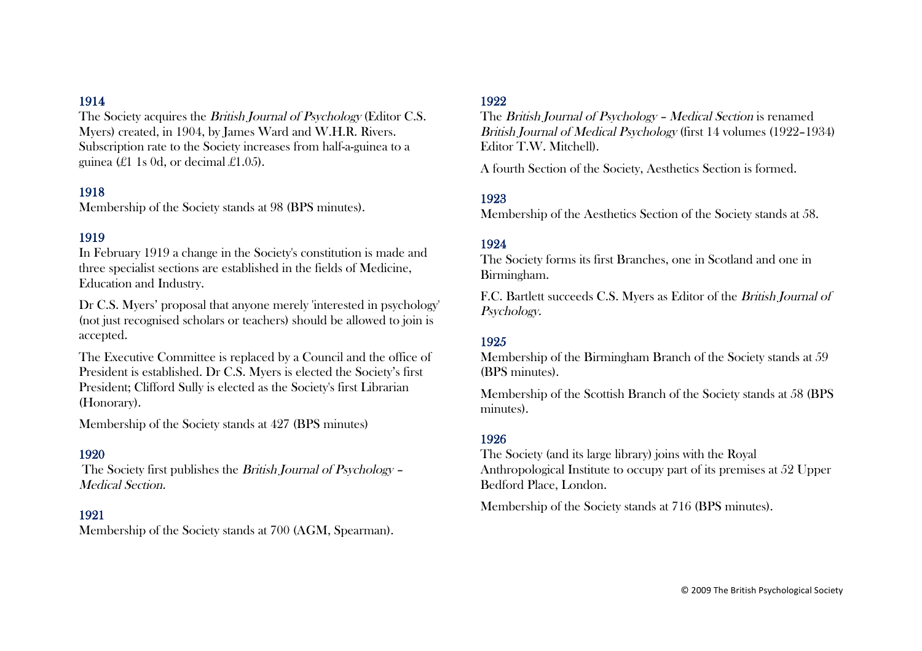The Society acquires the British Journal of Psychology (Editor C.S. Myers) created, in 1904, by James Ward and W.H.R. Rivers. Subscription rate to the Society increases from half-a-guinea to a guinea (£1 1 s 0 d, or decimal £1.05).

#### 1918

Membership of the Society stands at 98 (BPS minutes).

## 1919

In February 1919 a change in the Society's constitution is made and three specialist sections are established in the fields of Medicine, Education and Industry.

Dr C.S. Myers' proposal that anyone merely 'interested in psychology' (not just recognised scholars or teachers) should be allowed to join is accepted.

The Executive Committee is replaced by a Council and the office of President is established. Dr C.S. Myers is elected the Society's first President; Clifford Sully is elected as the Society's first Librarian (Honorary).

Membership of the Society stands at 427 (BPS minutes)

#### 1920

 The Society first publishes the British Journal of Psychology – Medical Section.

#### 1921

Membership of the Society stands at 700 (AGM, Spearman).

#### 1922

The British Journal of Psychology – Medical Section is renamed British Journal of Medical Psychology (first 14 volumes (1922–1934) Editor T.W. Mitchell).

A fourth Section of the Society, Aesthetics Section is formed.

## 1923

Membership of the Aesthetics Section of the Society stands at 58.

#### 1924

The Society forms its first Branches, one in Scotland and one in Birmingham.

F.C. Bartlett succeeds C.S. Myers as Editor of the British Journal of Psychology.

#### 1925

Membership of the Birmingham Branch of the Society stands at 59 (BPS minutes).

Membership of the Scottish Branch of the Society stands at 58 (BPS minutes).

#### 1926

The Society (and its large library) joins with the Royal Anthropological Institute to occupy part of its premises at 52 Upper Bedford Place, London.

Membership of the Society stands at 716 (BPS minutes).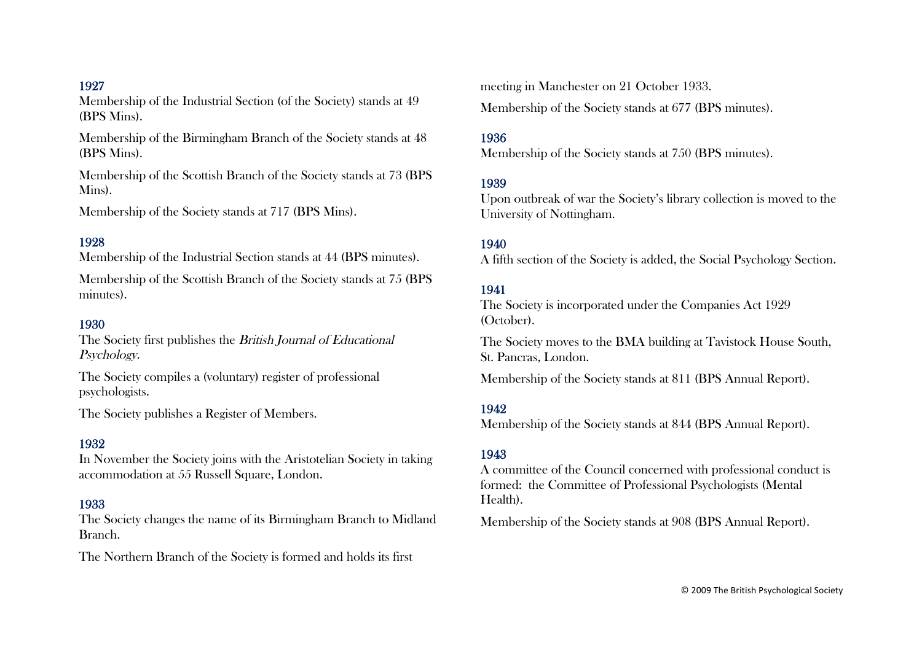Membership of the Industrial Section (of the Society) stands at 49 (BPS Mins).

Membership of the Birmingham Branch of the Society stands at 48 (BPS Mins).

Membership of the Scottish Branch of the Society stands at 73 (BPS) Mins).

Membership of the Society stands at 717 (BPS Mins).

#### 1928

Membership of the Industrial Section stands at 44 (BPS minutes).

Membership of the Scottish Branch of the Society stands at 75 (BPS) minutes).

#### 1930

The Society first publishes the British Journal of Educational Psychology.

The Society compiles a (voluntary) register of professional psychologists.

The Society publishes a Register of Members.

## 1932

In November the Society joins with the Aristotelian Society in taking accommodation at 55 Russell Square, London.

#### 1933

The Society changes the name of its Birmingham Branch to Midland Branch.

The Northern Branch of the Society is formed and holds its first

meeting in Manchester on 21 October 1933.

Membership of the Society stands at 677 (BPS minutes).

#### 1936

Membership of the Society stands at 750 (BPS minutes).

### 1939

Upon outbreak of war the Society's library collection is moved to the University of Nottingham.

#### 1940

A fifth section of the Society is added, the Social Psychology Section.

## 1941

The Society is incorporated under the Companies Act 1929 (October).

The Society moves to the BMA building at Tavistock House South, St. Pancras, London.

Membership of the Society stands at 811 (BPS Annual Report).

## 1942

Membership of the Society stands at 844 (BPS Annual Report).

#### 1943

A committee of the Council concerned with professional conduct is formed: the Committee of Professional Psychologists (Mental Health).

Membership of the Society stands at 908 (BPS Annual Report).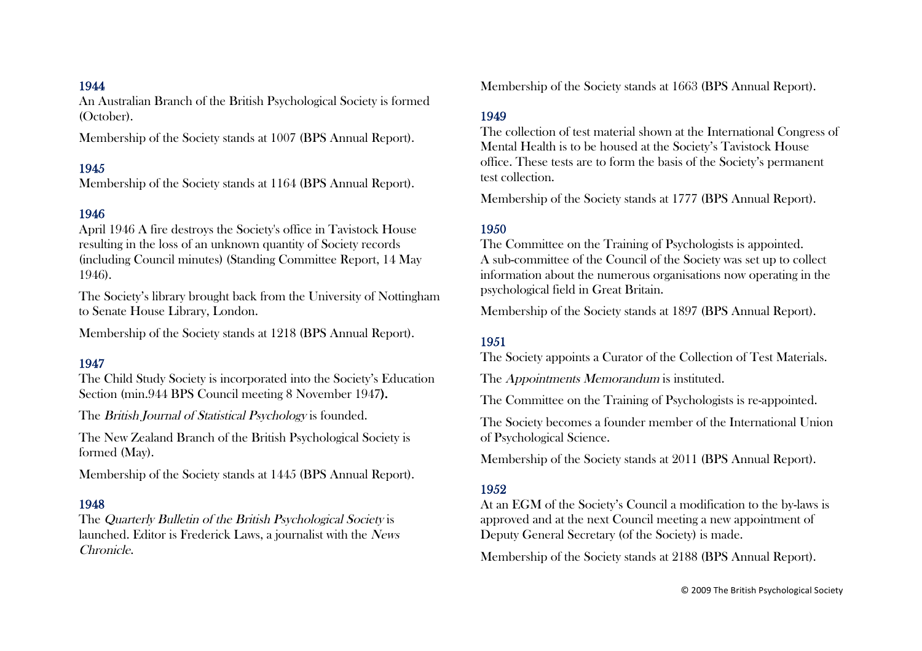An Australian Branch of the British Psychological Society is formed (October).

Membership of the Society stands at 1007 (BPS Annual Report).

#### 1945

Membership of the Society stands at 1164 (BPS Annual Report).

#### 1946

April 1946 A fire destroys the Society's office in Tavistock House resulting in the loss of an unknown quantity of Society records (including Council minutes) (Standing Committee Report, 14 May 1946).

The Society's library brought back from the University of Nottingham to Senate House Library, London.

Membership of the Society stands at 1218 (BPS Annual Report).

#### 1947

The Child Study Society is incorporated into the Society's Education Section (min.944 BPS Council meeting 8 November 1947).

The British Journal of Statistical Psychology is founded.

The New Zealand Branch of the British Psychological Society is formed (May).

Membership of the Society stands at 1445 (BPS Annual Report).

#### 1948

The Quarterly Bulletin of the British Psychological Society is launched. Editor is Frederick Laws, a journalist with the News Chronicle.

Membership of the Society stands at 1663 (BPS Annual Report).

#### 1949

The collection of test material shown at the International Congress of Mental Health is to be housed at the Society's Tavistock House office. These tests are to form the basis of the Society's permanent test collection.

Membership of the Society stands at 1777 (BPS Annual Report).

#### 1950

The Committee on the Training of Psychologists is appointed. A sub-committee of the Council of the Society was set up to collect information about the numerous organisations now operating in the psychological field in Great Britain.

Membership of the Society stands at 1897 (BPS Annual Report).

#### 1951

The Society appoints a Curator of the Collection of Test Materials.

The *Appointments Memorandum* is instituted.

The Committee on the Training of Psychologists is re-appointed.

The Society becomes a founder member of the International Union of Psychological Science.

Membership of the Society stands at 2011 (BPS Annual Report).

#### 1952

At an EGM of the Society's Council a modification to the by-laws is approved and at the next Council meeting a new appointment of Deputy General Secretary (of the Society) is made.

Membership of the Society stands at 2188 (BPS Annual Report).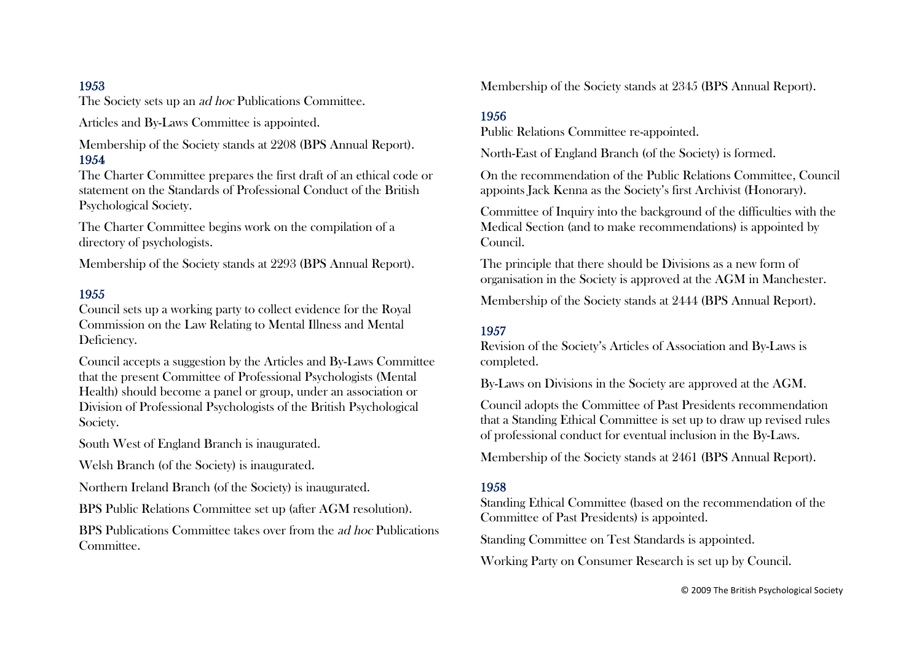The Society sets up an ad hoc Publications Committee.

Articles and By-Laws Committee is appointed.

Membership of the Society stands at 2208 (BPS Annual Report). 1954

The Charter Committee prepares the first draft of an ethical code or statement on the Standards of Professional Conduct of the British Psychological Society.

The Charter Committee begins work on the compilation of a directory of psychologists.

Membership of the Society stands at 2293 (BPS Annual Report).

#### 1955

Council sets up a working party to collect evidence for the Royal Commission on the Law Relating to Mental Illness and Mental Deficiency.

Council accepts a suggestion by the Articles and By-Laws Committee that the present Committee of Professional Psychologists (Mental Health) should become a panel or group, under an association or Division of Professional Psychologists of the British Psychological Society.

South West of England Branch is inaugurated.

Welsh Branch (of the Society) is inaugurated.

Northern Ireland Branch (of the Society) is inaugurated.

BPS Public Relations Committee set up (after AGM resolution).

BPS Publications Committee takes over from the ad hoc Publications Committee.

Membership of the Society stands at 2345 (BPS Annual Report).

## 1956

Public Relations Committee re-appointed.

North-East of England Branch (of the Society) is formed.

On the recommendation of the Public Relations Committee, Council appoints Jack Kenna as the Society's first Archivist (Honorary).

Committee of Inquiry into the background of the difficulties with the Medical Section (and to make recommendations) is appointed by Council.

The principle that there should be Divisions as a new form of organisation in the Society is approved at the AGM in Manchester.

Membership of the Society stands at 2444 (BPS Annual Report).

#### 1957

Revision of the Society's Articles of Association and By-Laws is completed.

By-Laws on Divisions in the Society are approved at the AGM.

Council adopts the Committee of Past Presidents recommendation that a Standing Ethical Committee is set up to draw up revised rules of professional conduct for eventual inclusion in the By-Laws.

Membership of the Society stands at 2461 (BPS Annual Report).

#### 1958

Standing Ethical Committee (based on the recommendation of the Committee of Past Presidents) is appointed.

Standing Committee on Test Standards is appointed.

Working Party on Consumer Research is set up by Council.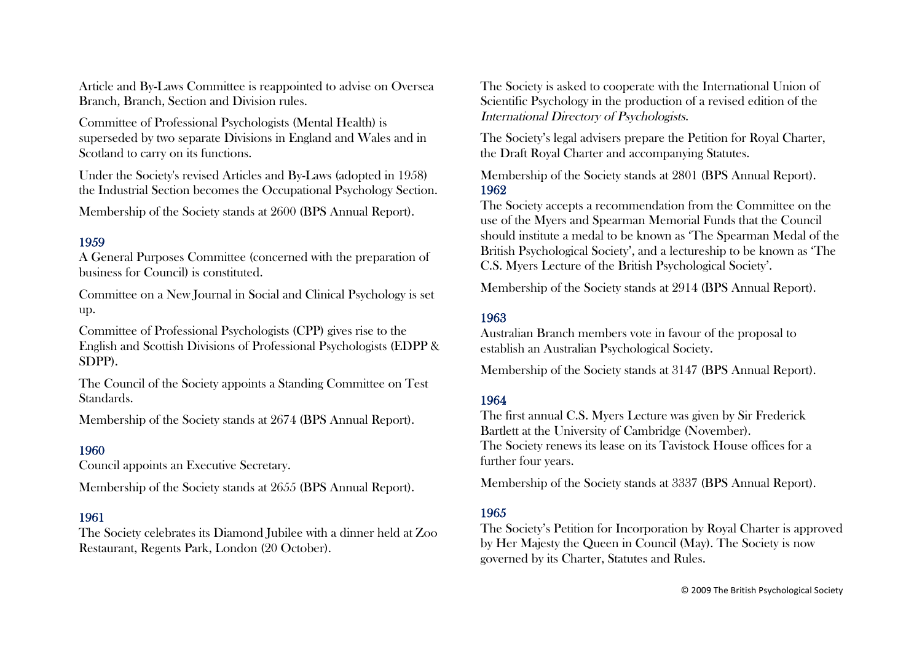Article and By-Laws Committee is reappointed to advise on Oversea Branch, Branch, Section and Division rules.

Committee of Professional Psychologists (Mental Health) is superseded by two separate Divisions in England and Wales and in Scotland to carry on its functions.

Under the Society's revised Articles and By-Laws (adopted in 1958) the Industrial Section becomes the Occupational Psychology Section.

Membership of the Society stands at 2600 (BPS Annual Report).

## 1959

A General Purposes Committee (concerned with the preparation of business for Council) is constituted.

Committee on a New Journal in Social and Clinical Psychology is set up.

Committee of Professional Psychologists (CPP) gives rise to the English and Scottish Divisions of Professional Psychologists (EDPP & SDPP).

The Council of the Society appoints a Standing Committee on Test Standards.

Membership of the Society stands at 2674 (BPS Annual Report).

## 1960

Council appoints an Executive Secretary.

Membership of the Society stands at 2655 (BPS Annual Report).

#### 1961

The Society celebrates its Diamond Jubilee with a dinner held at Zoo Restaurant, Regents Park, London (20 October).

The Society is asked to cooperate with the International Union of Scientific Psychology in the production of a revised edition of the International Directory of Psychologists.

The Society's legal advisers prepare the Petition for Royal Charter, the Draft Royal Charter and accompanying Statutes.

Membership of the Society stands at 2801 (BPS Annual Report). 1962

The Society accepts a recommendation from the Committee on the use of the Myers and Spearman Memorial Funds that the Council should institute a medal to be known as 'The Spearman Medal of the British Psychological Society', and a lectureship to be known as 'The C.S. Myers Lecture of the British Psychological Society'.

Membership of the Society stands at 2914 (BPS Annual Report).

## 1963

Australian Branch members vote in favour of the proposal to establish an Australian Psychological Society.

Membership of the Society stands at 3147 (BPS Annual Report).

#### 1964

The first annual C.S. Myers Lecture was given by Sir Frederick Bartlett at the University of Cambridge (November). The Society renews its lease on its Tavistock House offices for a further four years.

Membership of the Society stands at 3337 (BPS Annual Report).

## 1965

The Society's Petition for Incorporation by Royal Charter is approved by Her Majesty the Queen in Council (May). The Society is now governed by its Charter, Statutes and Rules.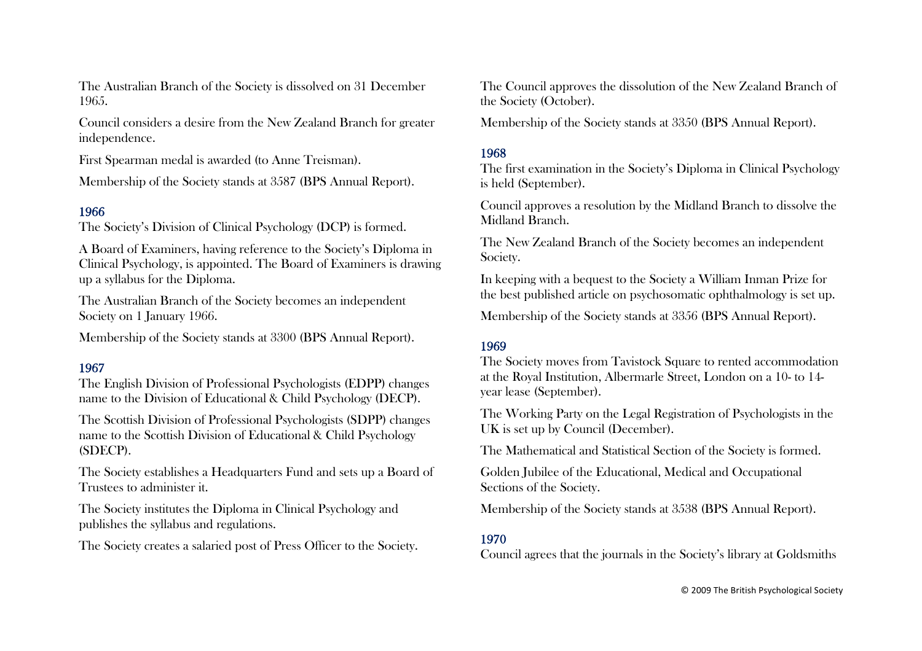The Australian Branch of the Society is dissolved on 31 December 1965.

Council considers a desire from the New Zealand Branch for greater independence.

First Spearman medal is awarded (to Anne Treisman).

Membership of the Society stands at 3587 (BPS Annual Report).

## 1966

The Society's Division of Clinical Psychology (DCP) is formed.

A Board of Examiners, having reference to the Society's Diploma in Clinical Psychology, is appointed. The Board of Examiners is drawing up a syllabus for the Diploma.

The Australian Branch of the Society becomes an independent Society on 1 January 1966.

Membership of the Society stands at 3300 (BPS Annual Report).

## 1967

The English Division of Professional Psychologists (EDPP) changes name to the Division of Educational & Child Psychology (DECP).

The Scottish Division of Professional Psychologists (SDPP) changes name to the Scottish Division of Educational & Child Psychology (SDECP).

The Society establishes a Headquarters Fund and sets up a Board of Trustees to administer it.

The Society institutes the Diploma in Clinical Psychology and publishes the syllabus and regulations.

The Society creates a salaried post of Press Officer to the Society.

The Council approves the dissolution of the New Zealand Branch of the Society (October).

Membership of the Society stands at 3350 (BPS Annual Report).

## 1968

The first examination in the Society's Diploma in Clinical Psychology is held (September).

Council approves a resolution by the Midland Branch to dissolve the Midland Branch.

The New Zealand Branch of the Society becomes an independent Society.

In keeping with a bequest to the Society a William Inman Prize for the best published article on psychosomatic ophthalmology is set up.

Membership of the Society stands at 3356 (BPS Annual Report).

## 1969

The Society moves from Tavistock Square to rented accommodation at the Royal Institution, Albermarle Street, London on a 10- to 14 year lease (September).

The Working Party on the Legal Registration of Psychologists in the UK is set up by Council (December).

The Mathematical and Statistical Section of the Society is formed.

Golden Jubilee of the Educational, Medical and Occupational Sections of the Society.

Membership of the Society stands at 3538 (BPS Annual Report).

## 1970

Council agrees that the journals in the Society's library at Goldsmiths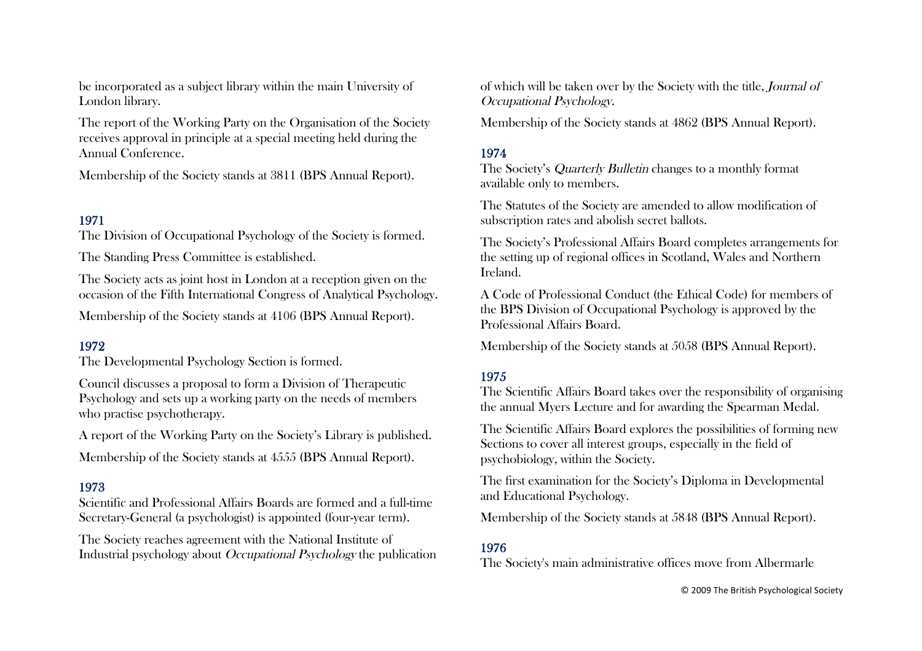be incorporated as a subject library within the main University of London library.

The report of the Working Party on the Organisation of the Society receives approval in principle at a special meeting held during the Annual Conference.

Membership of the Society stands at 3811 (BPS Annual Report).

# 1971

The Division of Occupational Psychology of the Society is formed.

The Standing Press Committee is established.

The Society acts as joint host in London at a reception given on the occasion of the Fifth International Congress of Analytical Psychology.

Membership of the Society stands at 4106 (BPS Annual Report).

## 1972

The Developmental Psychology Section is formed.

Council discusses a proposal to form a Division of Therapeutic Psychology and sets up a working party on the needs of members who practise psychotherapy.

A report of the Working Party on the Society's Library is published.

Membership of the Society stands at 4555 (BPS Annual Report).

#### 1973

Scientific and Professional Affairs Boards are formed and a full-time Secretary-General (a psychologist) is appointed (four-year term).

The Society reaches agreement with the National Institute of Industrial psychology about Occupational Psychology the publication of which will be taken over by the Society with the title, Journal of Occupational Psychology.

Membership of the Society stands at 4862 (BPS Annual Report).

## 1974

The Society's Quarterly Bulletin changes to a monthly format available only to members.

The Statutes of the Society are amended to allow modification of subscription rates and abolish secret ballots.

The Society's Professional Affairs Board completes arrangements for the setting up of regional offices in Scotland, Wales and Northern Ireland.

A Code of Professional Conduct (the Ethical Code) for members of the BPS Division of Occupational Psychology is approved by the Professional Affairs Board.

Membership of the Society stands at 5058 (BPS Annual Report).

## 1975

The Scientific Affairs Board takes over the responsibility of organising the annual Myers Lecture and for awarding the Spearman Medal.

The Scientific Affairs Board explores the possibilities of forming new Sections to cover all interest groups, especially in the field of psychobiology, within the Society.

The first examination for the Society's Diploma in Developmental and Educational Psychology.

Membership of the Society stands at 5848 (BPS Annual Report).

# 1976

The Society's main administrative offices move from Albermarle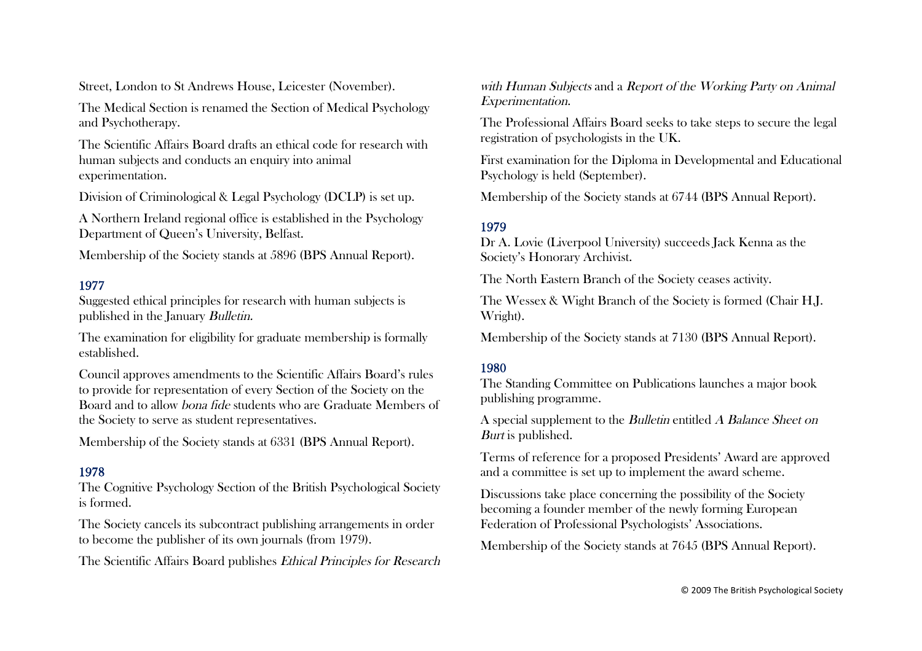Street, London to St Andrews House, Leicester (November).

The Medical Section is renamed the Section of Medical Psychology and Psychotherapy.

The Scientific Affairs Board drafts an ethical code for research with human subjects and conducts an enquiry into animal experimentation.

Division of Criminological & Legal Psychology (DCLP) is set up.

A Northern Ireland regional office is established in the Psychology Department of Queen's University, Belfast.

Membership of the Society stands at 5896 (BPS Annual Report).

## 1977

Suggested ethical principles for research with human subjects is published in the January Bulletin.

The examination for eligibility for graduate membership is formally established.

Council approves amendments to the Scientific Affairs Board's rules to provide for representation of every Section of the Society on the Board and to allow bona fide students who are Graduate Members of the Society to serve as student representatives.

Membership of the Society stands at 6331 (BPS Annual Report).

## 1978

The Cognitive Psychology Section of the British Psychological Society is formed.

The Society cancels its subcontract publishing arrangements in order to become the publisher of its own journals (from 1979).

The Scientific Affairs Board publishes Ethical Principles for Research

with Human Subjects and a Report of the Working Party on Animal Experimentation.

The Professional Affairs Board seeks to take steps to secure the legal registration of psychologists in the UK.

First examination for the Diploma in Developmental and Educational Psychology is held (September).

Membership of the Society stands at 6744 (BPS Annual Report).

# 1979

Dr A. Lovie (Liverpool University) succeeds Jack Kenna as the Society's Honorary Archivist.

The North Eastern Branch of the Society ceases activity.

The Wessex & Wight Branch of the Society is formed (Chair H.J. Wright).

Membership of the Society stands at 7130 (BPS Annual Report).

## 1980

The Standing Committee on Publications launches a major book publishing programme.

A special supplement to the Bulletin entitled A Balance Sheet on Burt is published.

Terms of reference for a proposed Presidents' Award are approved and a committee is set up to implement the award scheme.

Discussions take place concerning the possibility of the Society becoming a founder member of the newly forming European Federation of Professional Psychologists' Associations.

Membership of the Society stands at 7645 (BPS Annual Report).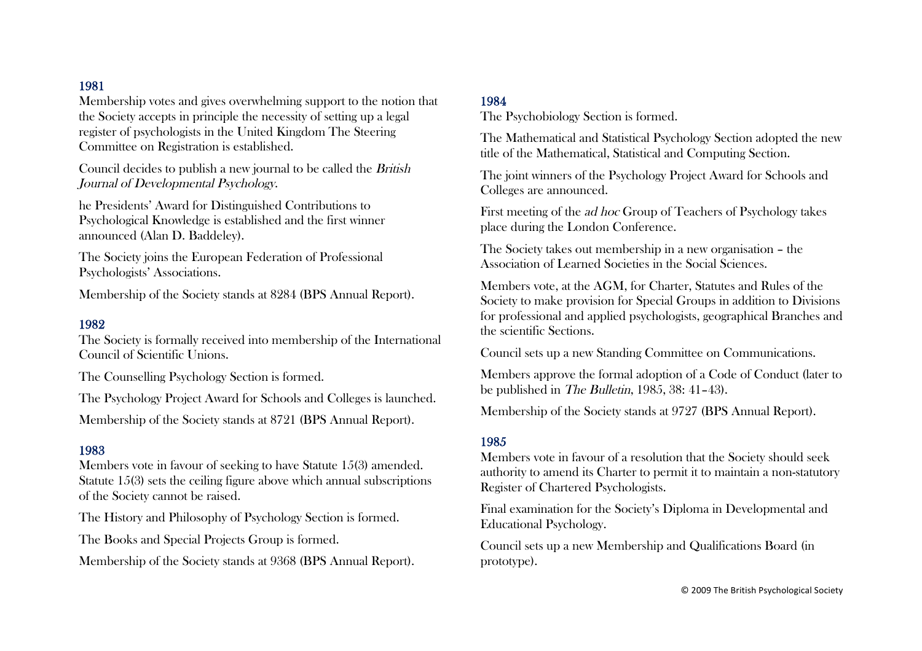Membership votes and gives overwhelming support to the notion that the Society accepts in principle the necessity of setting up a legal register of psychologists in the United Kingdom The Steering Committee on Registration is established.

Council decides to publish a new journal to be called the British Journal of Developmental Psychology.

he Presidents' Award for Distinguished Contributions to Psychological Knowledge is established and the first winner announced (Alan D. Baddeley).

The Society joins the European Federation of Professional Psychologists' Associations.

Membership of the Society stands at 8284 (BPS Annual Report).

#### 1982

The Society is formally received into membership of the International Council of Scientific Unions.

The Counselling Psychology Section is formed.

The Psychology Project Award for Schools and Colleges is launched.

Membership of the Society stands at 8721 (BPS Annual Report).

## 1983

Members vote in favour of seeking to have Statute 15(3) amended. Statute 15(3) sets the ceiling figure above which annual subscriptions of the Society cannot be raised.

The History and Philosophy of Psychology Section is formed.

The Books and Special Projects Group is formed.

Membership of the Society stands at 9368 (BPS Annual Report).

### 1984

The Psychobiology Section is formed.

The Mathematical and Statistical Psychology Section adopted the new title of the Mathematical, Statistical and Computing Section.

The joint winners of the Psychology Project Award for Schools and Colleges are announced.

First meeting of the ad hoc Group of Teachers of Psychology takes place during the London Conference.

The Society takes out membership in a new organisation – the Association of Learned Societies in the Social Sciences.

Members vote, at the AGM, for Charter, Statutes and Rules of the Society to make provision for Special Groups in addition to Divisions for professional and applied psychologists, geographical Branches and the scientific Sections.

Council sets up a new Standing Committee on Communications.

Members approve the formal adoption of a Code of Conduct (later to be published in The Bulletin, 1985, 38: 41–43).

Membership of the Society stands at 9727 (BPS Annual Report).

#### 1985

Members vote in favour of a resolution that the Society should seek authority to amend its Charter to permit it to maintain a non-statutory Register of Chartered Psychologists.

Final examination for the Society's Diploma in Developmental and Educational Psychology.

Council sets up a new Membership and Qualifications Board (in prototype).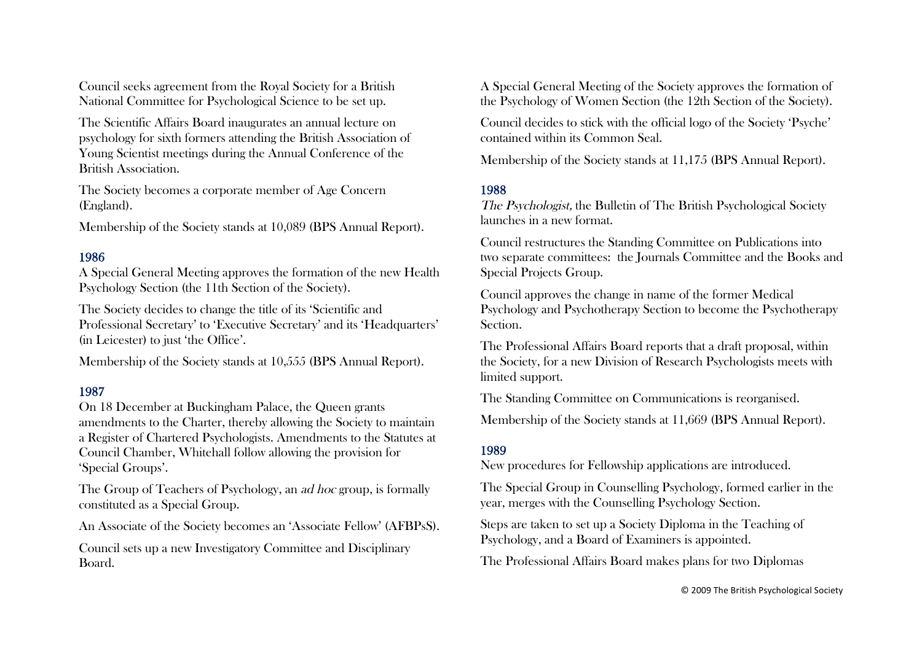Council seeks agreement from the Royal Society for a British National Committee for Psychological Science to be set up.

The Scientific Affairs Board inaugurates an annual lecture on psychology for sixth formers attending the British Association of Young Scientist meetings during the Annual Conference of the British Association.

The Society becomes a corporate member of Age Concern (England).

Membership of the Society stands at 10,089 (BPS Annual Report).

## 1986

A Special General Meeting approves the formation of the new Health Psychology Section (the 11th Section of the Society).

The Society decides to change the title of its 'Scientific and Professional Secretary' to 'Executive Secretary' and its 'Headquarters' (in Leicester) to just 'the Office'.

Membership of the Society stands at 10,555 (BPS Annual Report).

## 1987

On 18 December at Buckingham Palace, the Queen grants amendments to the Charter, thereby allowing the Society to maintain a Register of Chartered Psychologists. Amendments to the Statutes at Council Chamber, Whitehall follow allowing the provision for 'Special Groups'.

The Group of Teachers of Psychology, an ad hoc group, is formally constituted as a Special Group.

An Associate of the Society becomes an 'Associate Fellow' (AFBPsS).

Council sets up a new Investigatory Committee and Disciplinary Board.

A Special General Meeting of the Society approves the formation of the Psychology of Women Section (the 12th Section of the Society).

Council decides to stick with the official logo of the Society 'Psyche' contained within its Common Seal.

Membership of the Society stands at 11,175 (BPS Annual Report).

## 1988

The Psychologist, the Bulletin of The British Psychological Society launches in a new format.

Council restructures the Standing Committee on Publications into two separate committees: the Journals Committee and the Books and Special Projects Group.

Council approves the change in name of the former Medical Psychology and Psychotherapy Section to become the Psychotherapy Section.

The Professional Affairs Board reports that a draft proposal, within the Society, for a new Division of Research Psychologists meets with limited support.

The Standing Committee on Communications is reorganised.

Membership of the Society stands at 11,669 (BPS Annual Report).

## 1989

New procedures for Fellowship applications are introduced.

The Special Group in Counselling Psychology, formed earlier in the year, merges with the Counselling Psychology Section.

Steps are taken to set up a Society Diploma in the Teaching of Psychology, and a Board of Examiners is appointed.

The Professional Affairs Board makes plans for two Diplomas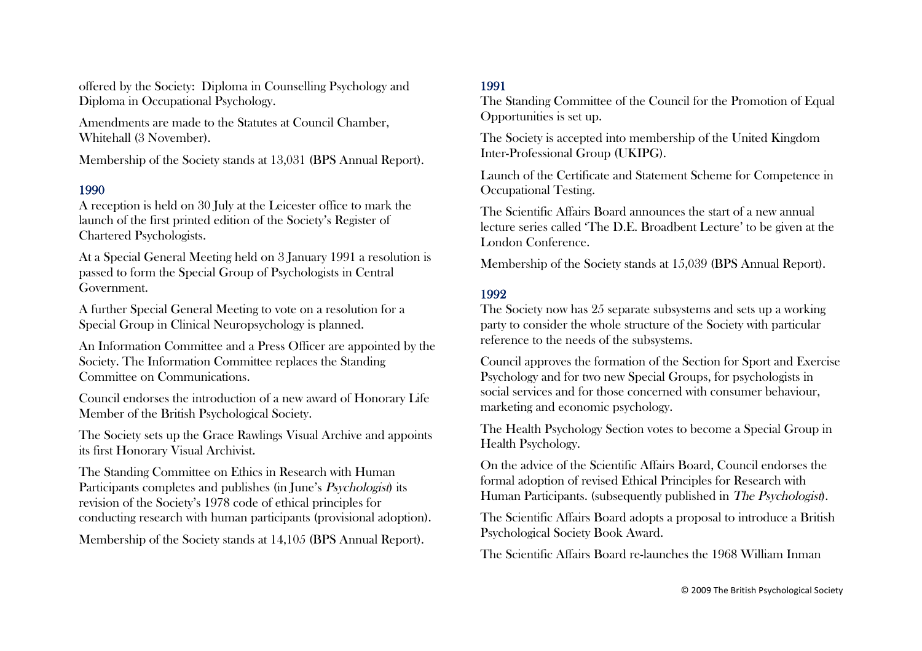offered by the Society: Diploma in Counselling Psychology and Diploma in Occupational Psychology.

Amendments are made to the Statutes at Council Chamber, Whitehall (3 November).

Membership of the Society stands at 13,031 (BPS Annual Report).

## 1990

A reception is held on 30 July at the Leicester office to mark the launch of the first printed edition of the Society's Register of Chartered Psychologists.

At a Special General Meeting held on 3 January 1991 a resolution is passed to form the Special Group of Psychologists in Central Government.

A further Special General Meeting to vote on a resolution for a Special Group in Clinical Neuropsychology is planned.

An Information Committee and a Press Officer are appointed by the Society. The Information Committee replaces the Standing Committee on Communications.

Council endorses the introduction of a new award of Honorary Life Member of the British Psychological Society.

The Society sets up the Grace Rawlings Visual Archive and appoints its first Honorary Visual Archivist.

The Standing Committee on Ethics in Research with Human Participants completes and publishes (in June's *Psychologist*) its revision of the Society's 1978 code of ethical principles for conducting research with human participants (provisional adoption).

Membership of the Society stands at 14,105 (BPS Annual Report).

## 1991

The Standing Committee of the Council for the Promotion of Equal Opportunities is set up.

The Society is accepted into membership of the United Kingdom Inter-Professional Group (UKIPG).

Launch of the Certificate and Statement Scheme for Competence in Occupational Testing.

The Scientific Affairs Board announces the start of a new annual lecture series called 'The D.E. Broadbent Lecture' to be given at the London Conference.

Membership of the Society stands at 15,039 (BPS Annual Report).

## 1992

The Society now has 25 separate subsystems and sets up a working party to consider the whole structure of the Society with particular reference to the needs of the subsystems.

Council approves the formation of the Section for Sport and Exercise Psychology and for two new Special Groups, for psychologists in social services and for those concerned with consumer behaviour, marketing and economic psychology.

The Health Psychology Section votes to become a Special Group in Health Psychology.

On the advice of the Scientific Affairs Board, Council endorses the formal adoption of revised Ethical Principles for Research with Human Participants. (subsequently published in The Psychologist).

The Scientific Affairs Board adopts a proposal to introduce a British Psychological Society Book Award.

The Scientific Affairs Board re-launches the 1968 William Inman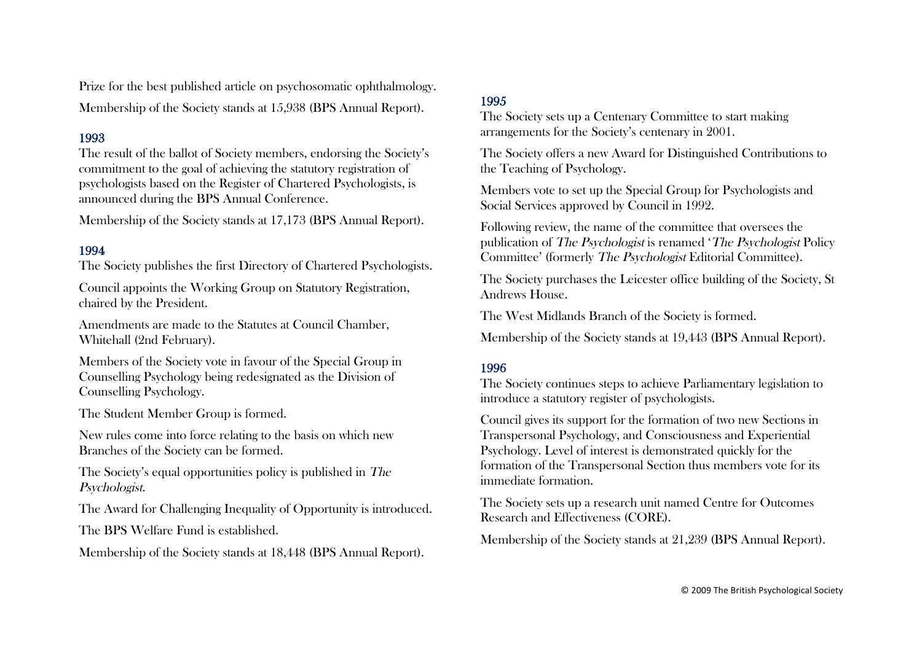Prize for the best published article on psychosomatic ophthalmology. Membership of the Society stands at 15,938 (BPS Annual Report).

## 1993

The result of the ballot of Society members, endorsing the Society's commitment to the goal of achieving the statutory registration of psychologists based on the Register of Chartered Psychologists, is announced during the BPS Annual Conference.

Membership of the Society stands at 17,173 (BPS Annual Report).

## 1994

The Society publishes the first Directory of Chartered Psychologists.

Council appoints the Working Group on Statutory Registration, chaired by the President.

Amendments are made to the Statutes at Council Chamber, Whitehall (2nd February).

Members of the Society vote in favour of the Special Group in Counselling Psychology being redesignated as the Division of Counselling Psychology.

The Student Member Group is formed.

New rules come into force relating to the basis on which new Branches of the Society can be formed.

The Society's equal opportunities policy is published in The Psychologist.

The Award for Challenging Inequality of Opportunity is introduced.

The BPS Welfare Fund is established.

Membership of the Society stands at 18,448 (BPS Annual Report).

## 1995

The Society sets up a Centenary Committee to start making arrangements for the Society's centenary in 2001.

The Society offers a new Award for Distinguished Contributions to the Teaching of Psychology.

Members vote to set up the Special Group for Psychologists and Social Services approved by Council in 1992.

Following review, the name of the committee that oversees the publication of The Psychologist is renamed 'The Psychologist Policy Committee' (formerly The Psychologist Editorial Committee).

The Society purchases the Leicester office building of the Society, St Andrews House.

The West Midlands Branch of the Society is formed.

Membership of the Society stands at 19,443 (BPS Annual Report).

## 1996

The Society continues steps to achieve Parliamentary legislation to introduce a statutory register of psychologists.

Council gives its support for the formation of two new Sections in Transpersonal Psychology, and Consciousness and Experiential Psychology. Level of interest is demonstrated quickly for the formation of the Transpersonal Section thus members vote for its immediate formation.

The Society sets up a research unit named Centre for Outcomes Research and Effectiveness (CORE).

Membership of the Society stands at 21,239 (BPS Annual Report).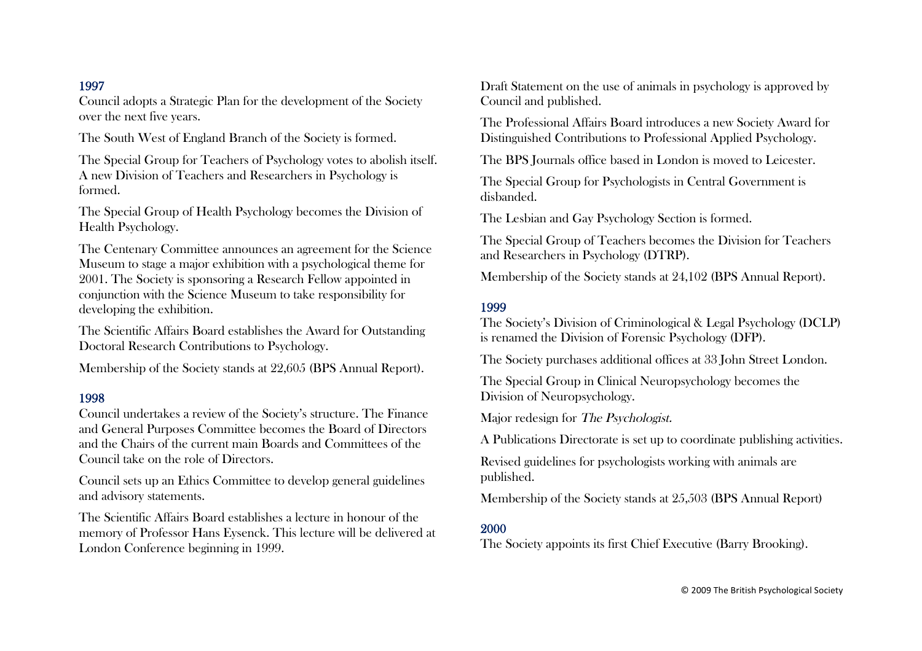Council adopts a Strategic Plan for the development of the Society over the next five years.

The South West of England Branch of the Society is formed.

The Special Group for Teachers of Psychology votes to abolish itself. A new Division of Teachers and Researchers in Psychology is formed.

The Special Group of Health Psychology becomes the Division of Health Psychology.

The Centenary Committee announces an agreement for the Science Museum to stage a major exhibition with a psychological theme for 2001. The Society is sponsoring a Research Fellow appointed in conjunction with the Science Museum to take responsibility for developing the exhibition.

The Scientific Affairs Board establishes the Award for Outstanding Doctoral Research Contributions to Psychology.

Membership of the Society stands at 22,605 (BPS Annual Report).

#### 1998

Council undertakes a review of the Society's structure. The Finance and General Purposes Committee becomes the Board of Directors and the Chairs of the current main Boards and Committees of the Council take on the role of Directors.

Council sets up an Ethics Committee to develop general guidelines and advisory statements.

The Scientific Affairs Board establishes a lecture in honour of the memory of Professor Hans Eysenck. This lecture will be delivered at London Conference beginning in 1999.

Draft Statement on the use of animals in psychology is approved by Council and published.

The Professional Affairs Board introduces a new Society Award for Distinguished Contributions to Professional Applied Psychology.

The BPS Journals office based in London is moved to Leicester.

The Special Group for Psychologists in Central Government is disbanded.

The Lesbian and Gay Psychology Section is formed.

The Special Group of Teachers becomes the Division for Teachers and Researchers in Psychology (DTRP).

Membership of the Society stands at 24,102 (BPS Annual Report).

## 1999

The Society's Division of Criminological & Legal Psychology (DCLP) is renamed the Division of Forensic Psychology (DFP).

The Society purchases additional offices at 33 John Street London.

The Special Group in Clinical Neuropsychology becomes the Division of Neuropsychology.

Major redesign for The Psychologist.

A Publications Directorate is set up to coordinate publishing activities.

Revised guidelines for psychologists working with animals are published.

Membership of the Society stands at 25,503 (BPS Annual Report)

#### 2000

The Society appoints its first Chief Executive (Barry Brooking).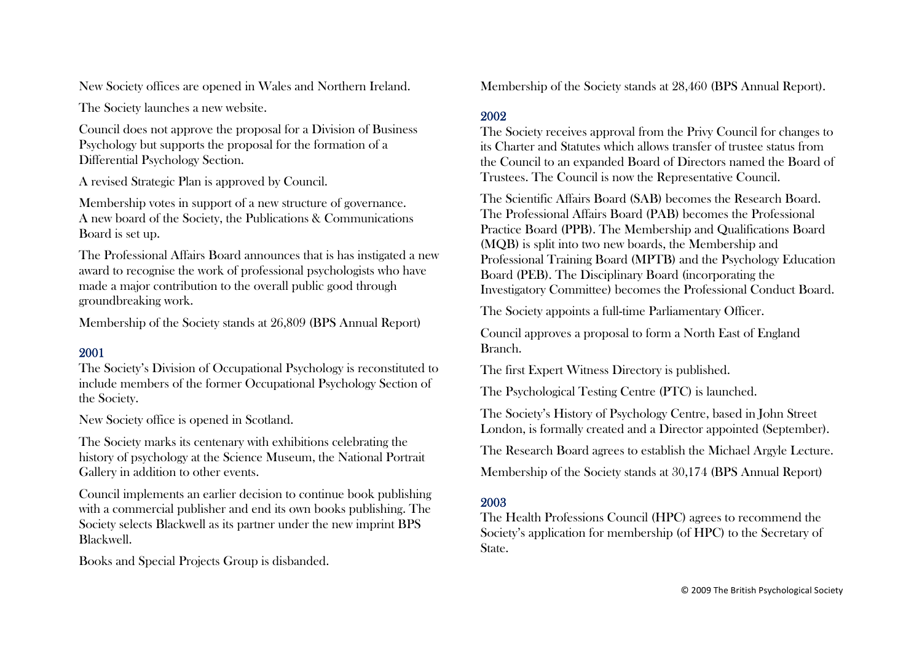New Society offices are opened in Wales and Northern Ireland.

The Society launches a new website.

Council does not approve the proposal for a Division of Business Psychology but supports the proposal for the formation of a Differential Psychology Section.

A revised Strategic Plan is approved by Council.

Membership votes in support of a new structure of governance. A new board of the Society, the Publications & Communications Board is set up.

The Professional Affairs Board announces that is has instigated a new award to recognise the work of professional psychologists who have made a major contribution to the overall public good through groundbreaking work.

Membership of the Society stands at 26,809 (BPS Annual Report)

## 2001

The Society's Division of Occupational Psychology is reconstituted to include members of the former Occupational Psychology Section of the Society.

New Society office is opened in Scotland.

The Society marks its centenary with exhibitions celebrating the history of psychology at the Science Museum, the National Portrait Gallery in addition to other events.

Council implements an earlier decision to continue book publishing with a commercial publisher and end its own books publishing. The Society selects Blackwell as its partner under the new imprint BPS Blackwell.

Books and Special Projects Group is disbanded.

Membership of the Society stands at 28,460 (BPS Annual Report).

## 2002

The Society receives approval from the Privy Council for changes to its Charter and Statutes which allows transfer of trustee status from the Council to an expanded Board of Directors named the Board of Trustees. The Council is now the Representative Council.

The Scientific Affairs Board (SAB) becomes the Research Board. The Professional Affairs Board (PAB) becomes the Professional Practice Board (PPB). The Membership and Qualifications Board (MQB) is split into two new boards, the Membership and Professional Training Board (MPTB) and the Psychology Education Board (PEB). The Disciplinary Board (incorporating the Investigatory Committee) becomes the Professional Conduct Board.

The Society appoints a full-time Parliamentary Officer.

Council approves a proposal to form a North East of England Branch.

The first Expert Witness Directory is published.

The Psychological Testing Centre (PTC) is launched.

The Society's History of Psychology Centre, based in John Street London, is formally created and a Director appointed (September).

The Research Board agrees to establish the Michael Argyle Lecture.

Membership of the Society stands at 30,174 (BPS Annual Report)

## 2003

The Health Professions Council (HPC) agrees to recommend the Society's application for membership (of HPC) to the Secretary of State.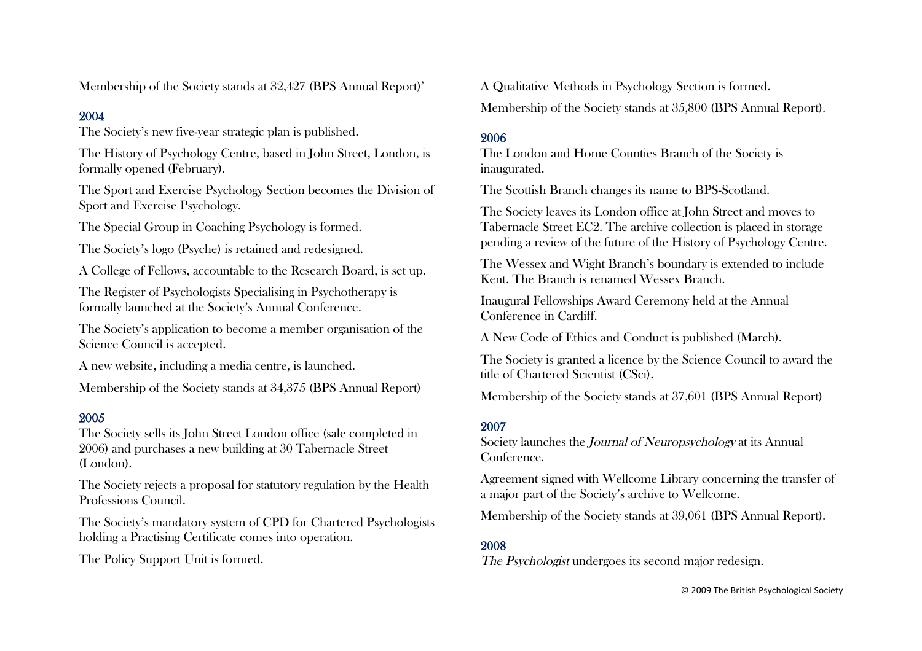Membership of the Society stands at 32,427 (BPS Annual Report)'

## 2004

The Society's new five-year strategic plan is published.

The History of Psychology Centre, based in John Street, London, is formally opened (February).

The Sport and Exercise Psychology Section becomes the Division of Sport and Exercise Psychology.

The Special Group in Coaching Psychology is formed.

The Society's logo (Psyche) is retained and redesigned.

A College of Fellows, accountable to the Research Board, is set up.

The Register of Psychologists Specialising in Psychotherapy is formally launched at the Society's Annual Conference.

The Society's application to become a member organisation of the Science Council is accepted.

A new website, including a media centre, is launched.

Membership of the Society stands at 34,375 (BPS Annual Report)

## 2005

The Society sells its John Street London office (sale completed in 2006) and purchases a new building at 30 Tabernacle Street (London).

The Society rejects a proposal for statutory regulation by the Health Professions Council.

The Society's mandatory system of CPD for Chartered Psychologists holding a Practising Certificate comes into operation.

The Policy Support Unit is formed.

A Qualitative Methods in Psychology Section is formed.

Membership of the Society stands at 35,800 (BPS Annual Report).

# 2006

The London and Home Counties Branch of the Society is inaugurated.

The Scottish Branch changes its name to BPS-Scotland.

The Society leaves its London office at John Street and moves to Tabernacle Street EC2. The archive collection is placed in storage pending a review of the future of the History of Psychology Centre.

The Wessex and Wight Branch's boundary is extended to include Kent. The Branch is renamed Wessex Branch.

Inaugural Fellowships Award Ceremony held at the Annual Conference in Cardiff.

A New Code of Ethics and Conduct is published (March).

The Society is granted a licence by the Science Council to award the title of Chartered Scientist (CSci).

Membership of the Society stands at 37,601 (BPS Annual Report)

# 2007

Society launches the Journal of Neuropsychology at its Annual Conference.

Agreement signed with Wellcome Library concerning the transfer of a major part of the Society's archive to Wellcome.

Membership of the Society stands at 39,061 (BPS Annual Report).

# 2008

The Psychologist undergoes its second major redesign.